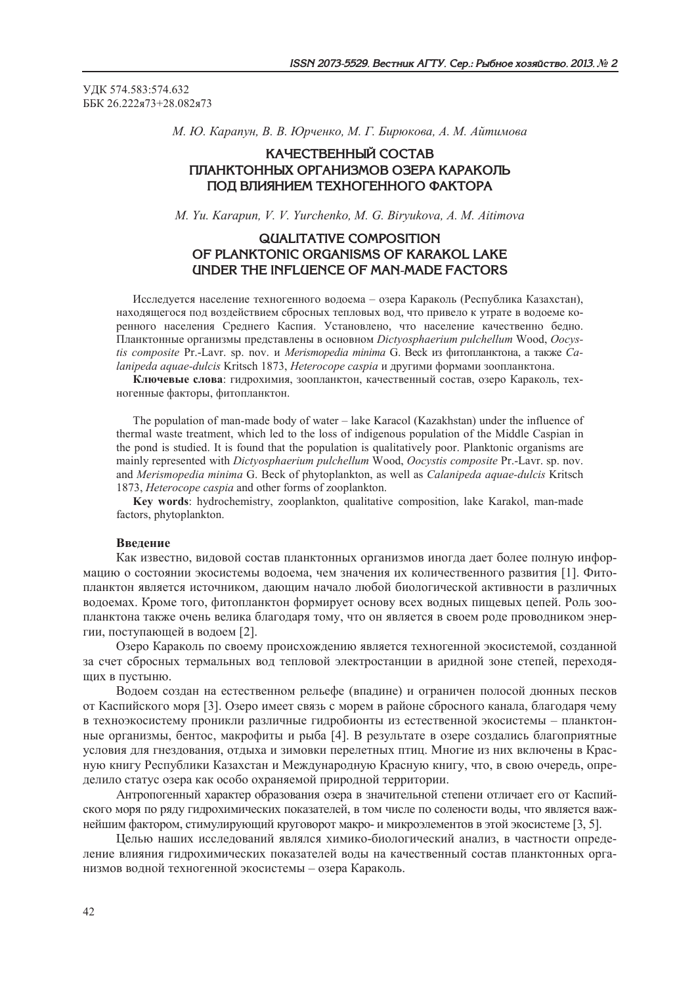УДК 574.583:574.632 ББК 26.222я73+28.082я73

М. Ю. Карапун, В. В. Юрченко, М. Г. Бирюкова, А. М. Айтимова

# КАЧЕСТВЕННЫЙ СОСТАВ ПЛАНКТОННЫХ ОРГАНИЗМОВ ОЗЕРА КАРАКОЛЬ ПОД ВЛИЯНИЕМ ТЕХНОГЕННОГО ФАКТОРА

M. Yu. Karapun, V. V. Yurchenko, M. G. Biryukova, A. M. Aitimova

# **QUALITATIVE COMPOSITION** OF PLANKTONIC ORGANISMS OF KARAKOL LAKE UNDER THE INFLUENCE OF MAN-MADE FACTORS

Исследуется население техногенного водоема - озера Караколь (Республика Казахстан), находящегося под воздействием сбросных тепловых вод, что привело к утрате в водоеме коренного населения Среднего Каспия. Установлено, что население качественно бедно. Планктонные организмы представлены в основном Dictyosphaerium pulchellum Wood, Oocystis composite Pr.-Lavr. sp. nov. и Merismopedia minima G. Beck из фитопланктона, а также Саlanipeda aquae-dulcis Kritsch 1873, Heterocope caspia и другими формами зоопланктона.

Ключевые слова: гидрохимия, зоопланктон, качественный состав, озеро Караколь, техногенные факторы, фитопланктон.

The population of man-made body of water – lake Karacol (Kazakhstan) under the influence of thermal waste treatment, which led to the loss of indigenous population of the Middle Caspian in the pond is studied. It is found that the population is qualitatively poor. Planktonic organisms are mainly represented with Dictyosphaerium pulchellum Wood, Oocystis composite Pr.-Lavr. sp. nov. and Merismopedia minima G. Beck of phytoplankton, as well as Calanipeda aquae-dulcis Kritsch 1873, Heterocope caspia and other forms of zooplankton.

Key words: hydrochemistry, zooplankton, qualitative composition, lake Karakol, man-made factors, phytoplankton.

## Введение

Как известно, видовой состав планктонных организмов иногда дает более полную информацию о состоянии экосистемы водоема, чем значения их количественного развития [1]. Фитопланктон является источником, даюшим начало любой биологической активности в различных водоемах. Кроме того, фитопланктон формирует основу всех водных пищевых цепей. Роль зоопланктона также очень велика благодаря тому, что он является в своем роде проводником энергии, поступающей в водоем [2].

Озеро Караколь по своему происхождению является техногенной экосистемой, созданной за счет сбросных термальных вод тепловой электростанции в аридной зоне степей, переходящих в пустыню.

Водоем создан на естественном рельефе (впадине) и ограничен полосой дюнных песков от Каспийского моря [3]. Озеро имеет связь с морем в районе сбросного канала. благодаря чему в техноэкосистему проникли различные гидробионты из естественной экосистемы - планктонные организмы, бентос, макрофиты и рыба [4]. В результате в озере создались благоприятные условия для гнездования, отдыха и зимовки перелетных птиц. Многие из них включены в Красную книгу Республики Казахстан и Международную Красную книгу, что, в свою очередь, определило статус озера как особо охраняемой природной территории.

Антропогенный характер образования озера в значительной степени отличает его от Каспийского моря по ряду гидрохимических показателей, в том числе по солености воды, что является важнейшим фактором, стимулирующий круговорот макро- и микроэлементов в этой экосистеме [3, 5].

Целью наших исследований являлся химико-биологический анализ, в частности определение влияния гидрохимических показателей воды на качественный состав планктонных организмов водной техногенной экосистемы - озера Караколь.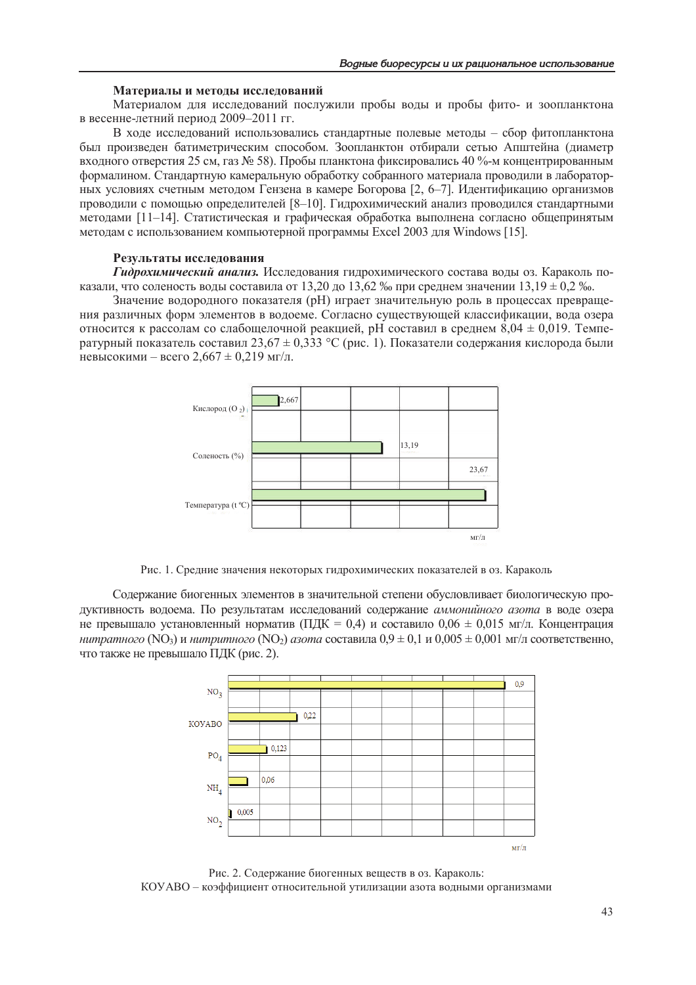#### Материалы и методы исследований

Материалом для исследований послужили пробы воды и пробы фито- и зоопланктона в весенне-летний период 2009-2011 гг.

В ходе исследований использовались стандартные полевые методы - сбор фитопланктона был произведен батиметрическим способом. Зоопланктон отбирали сетью Апштейна (диаметр входного отверстия 25 см. газ № 58). Пробы планктона фиксировались 40 %-м концентрированным формалином. Стандартную камеральную обработку собранного материала проводили в лабораторных условиях счетным методом Гензена в камере Богорова [2, 6-7]. Идентификацию организмов проводили с помощью определителей [8-10]. Гидрохимический анализ проводился стандартными методами [11-14]. Статистическая и графическая обработка выполнена согласно общепринятым методам с использованием компьютерной программы Excel 2003 для Windows [15].

#### Результаты исследования

Гидрохимический анализ. Исследования гидрохимического состава воды оз. Караколь показали, что соленость воды составила от 13.20 до 13.62 ‰ при среднем значении 13.19  $\pm$  0.2 ‰.

Значение водородного показателя (рН) играет значительную роль в процессах превращения различных форм элементов в волоеме. Согласно сушествующей классификации, вола озера относится к рассолам со слабощелочной реакцией, pH составил в среднем  $8.04 \pm 0.019$ . Температурный показатель составил 23,67  $\pm$  0,333 °C (рис. 1). Показатели содержания кислорода были невысокими – всего 2,667 ± 0,219 мг/л.



Рис. 1. Средние значения некоторых гидрохимических показателей в оз. Караколь

Содержание биогенных элементов в значительной степени обусловливает биологическую продуктивность водоема. По результатам исследований содержание аммонийного азота в воде озера не превышало установленный норматив (ПДК = 0.4) и составило  $0.06 \pm 0.015$  мг/л. Концентрация нитратного (NO<sub>3</sub>) и нитритного (NO<sub>2</sub>) азота составила  $0.9 \pm 0.1$  и  $0.005 \pm 0.001$  мг/л соответственно, что также не превышало ПДК (рис. 2).



Рис. 2. Содержание биогенных веществ в оз. Караколь: КОУАВО - коэффициент относительной утилизации азота водными организмами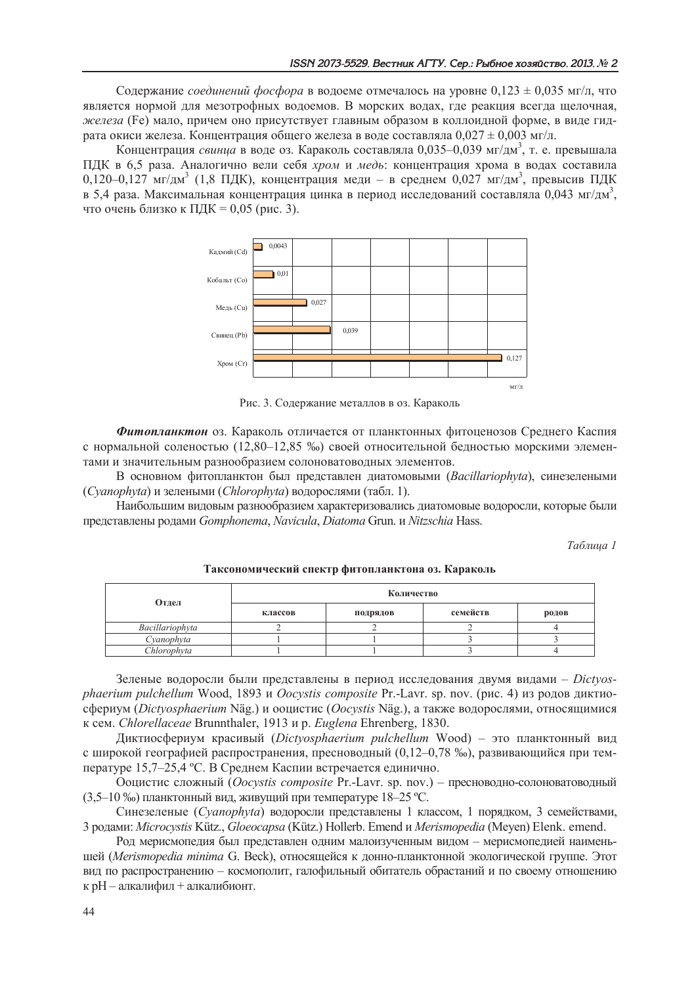Содержание *соединений фосфора* в водоеме отмечалось на уровне  $0,123 \pm 0,035$  мг/л, что является нормой для мезотрофных водоемов. В морских водах, где реакция всегда щелочная, железа (Fe) мало, причем оно присутствует главным образом в коллоидной форме, в виде гидрата окиси железа. Концентрация общего железа в воде составляла  $0.027 \pm 0.003$  мг/л.

Концентрация *свинца* в воде оз. Караколь составляла 0,035-0,039 мг/дм<sup>3</sup>, т. е. превышала ПДК в 6,5 раза. Аналогично вели себя хром и медь: концентрация хрома в водах составила 0,120-0,127 мг/дм<sup>3</sup> (1,8 ПДК), концентрация меди – в среднем 0,027 мг/дм<sup>3</sup>, превысив ПДК в 5.4 раза. Максимальная концентрация цинка в период исследований составляла 0.043 мг/дм<sup>3</sup>, что очень близко к ПДК = 0,05 (рис. 3).



Рис. 3. Содержание металлов в оз. Караколь

Фитопланктон оз. Караколь отличается от планктонных фитоценозов Среднего Каспия с нормальной соленостью (12.80-12.85 ‰) своей относительной бедностью морскими элементами и значительным разнообразием солоноватоводных элементов.

В основном фитопланктон был представлен диатомовыми (Bacillariophyta), синезелеными (Cyanophyta) и зелеными (Chlorophyta) водорослями (табл. 1).

Наибольшим видовым разнообразием характеризовались диатомовые водоросли, которые были представлены родами Gomphonema, Navicula, Diatoma Grun, и Nitzschia Hass.

Таблииа 1

| Отдел           | Количество |          |          |       |
|-----------------|------------|----------|----------|-------|
|                 | классов    | подрядов | семейств | родов |
| Bacillariophyta |            |          |          |       |
| Cvanophyta      |            |          |          |       |
| Chlorophyta     |            |          |          |       |

Таксономический спектр фитопланктона оз. Караколь

Зеленые водоросли были представлены в период исследования двумя видами - Dictyosphaerium pulchellum Wood, 1893 и Oocystis composite Pr.-Lavr. sp. nov. (рис. 4) из родов диктиосфериум (Dictyosphaerium Näg.) и ооцистис (Oocystis Näg.), а также водорослями, относящимися к сем. Chlorellaceae Brunnthaler, 1913 и р. Euglena Ehrenberg, 1830.

Диктиосфериум красивый (Dictyosphaerium pulchellum Wood) - это планктонный вид с широкой географией распространения, пресноводный (0,12-0,78 ‰), развивающийся при температуре 15,7–25,4 °С. В Среднем Каспии встречается единично.

Ооцистис сложный (Oocystis composite Pr.-Lavr. sp. nov.) - пресноводно-солоноватоводный (3,5-10 ‰) планктонный вид, живущий при температуре 18-25 °С.

Синезеленые (Cyanophyta) водоросли представлены 1 классом, 1 порядком, 3 семействами, 3 родами: Microcystis Kütz., Gloeocapsa (Kütz.) Hollerb. Emend и Merismopedia (Meven) Elenk. emend.

Род мерисмопедия был представлен одним малоизученным видом - мерисмопедией наименьшей (Merismopedia minima G. Beck), относящейся к донно-планктонной экологической группе. Этот вид по распространению - космополит, галофильный обитатель обрастаний и по своему отношению к pH - алкалифил + алкалибионт.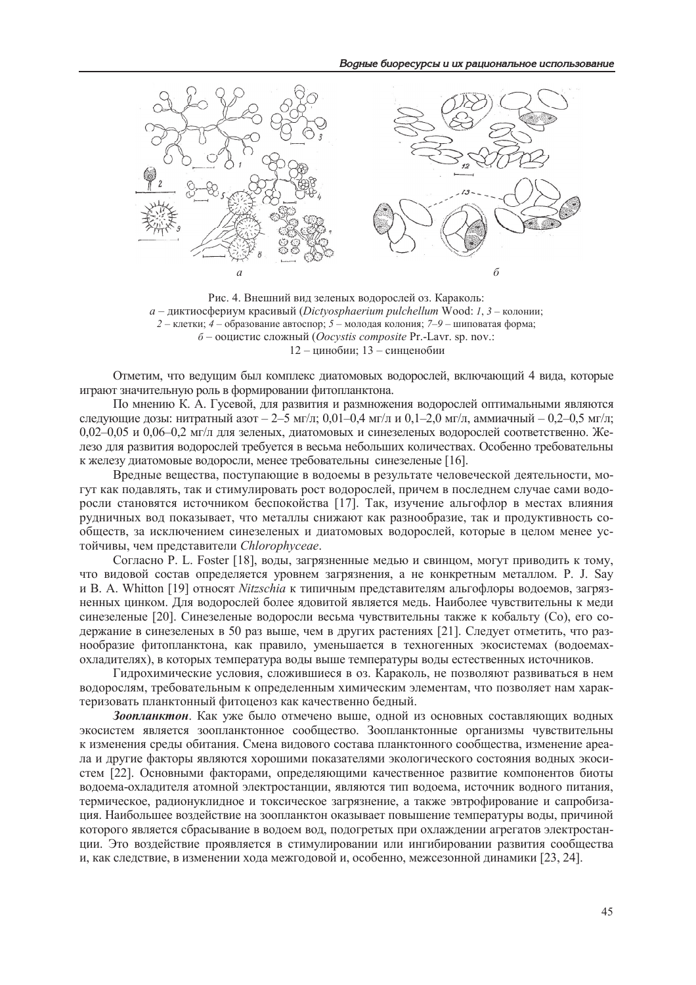

Рис. 4. Внешний вид зеленых водорослей оз. Караколь:  $a$  – диктиосфериум красивый (Dictyosphaerium pulchellum Wood: 1, 3 – колонии; 2 - клетки; 4 - образование автоспор; 5 - молодая колония; 7-9 - шиповатая форма;  $6$  – ооцистис сложный (*Oocystis composite* Pr.-Lavr. sp. nov.: 12 - цинобии; 13 - синценобии

Отметим, что ведущим был комплекс диатомовых водорослей, включающий 4 вида, которые играют значительную роль в формировании фитопланктона.

По мнению К. А. Гусевой, для развития и размножения водорослей оптимальными являются следующие дозы: нитратный азот - 2-5 мг/л; 0,01-0,4 мг/л и 0,1-2,0 мг/л, аммиачный - 0,2-0,5 мг/л;  $0.02-0.05$  и  $0.06-0.2$  мг/л для зеленых, диатомовых и синезеленых водорослей соответственно. Железо для развития водорослей требуется в весьма небольших количествах. Особенно требовательны к железу диатомовые водоросли, менее требовательны синезеленые [16].

Вредные вещества, поступающие в водоемы в результате человеческой деятельности, могут как подавлять, так и стимулировать рост водорослей, причем в последнем случае сами водоросли становятся источником беспокойства [17]. Так, изучение альгофлор в местах влияния рудничных вод показывает, что металлы снижают как разнообразие, так и продуктивность сообществ, за исключением синезеленых и диатомовых водорослей, которые в целом менее устойчивы, чем представители Chlorophyceae.

Согласно Р. L. Foster [18], воды, загрязненные медью и свинцом, могут приводить к тому, что виловой состав определяется уровнем загрязнения, а не конкретным металлом. P. J. Sav и В. А. Whitton [19] относят Nitzschia к типичным представителям альгофлоры водоемов, загрязненных цинком. Для водорослей более ядовитой является медь. Наиболее чувствительны к меди синезеленые [20]. Синезеленые водоросли весьма чувствительны также к кобальту (Co), его содержание в синезеленых в 50 раз выше, чем в других растениях [21]. Следует отметить, что разнообразие фитопланктона, как правило, уменьшается в техногенных экосистемах (водоемахохладителях), в которых температура воды выше температуры воды естественных источников.

Гилрохимические условия, сложившиеся в оз. Караколь, не позволяют развиваться в нем водорослям, требовательным к определенным химическим элементам, что позволяет нам характеризовать планктонный фитоценоз как качественно бедный.

Зоопланктон. Как уже было отмечено выше, одной из основных составляющих водных экосистем является зоопланктонное сообщество. Зоопланктонные организмы чувствительны к изменения среды обитания. Смена видового состава планктонного сообщества, изменение ареала и другие факторы являются хорошими показателями экологического состояния водных экосистем [22]. Основными факторами, определяющими качественное развитие компонентов биоты водоема-охладителя атомной электростанции, являются тип водоема, источник водного питания, термическое, радионуклидное и токсическое загрязнение, а также эвтрофирование и сапробизация. Наибольшее воздействие на зоопланктон оказывает повышение температуры воды, причиной которого является сбрасывание в водоем вод, подогретых при охлаждении агрегатов электростанции. Это воздействие проявляется в стимулировании или ингибировании развития сообщества и, как следствие, в изменении хода межгодовой и, особенно, межсезонной динамики [23, 24].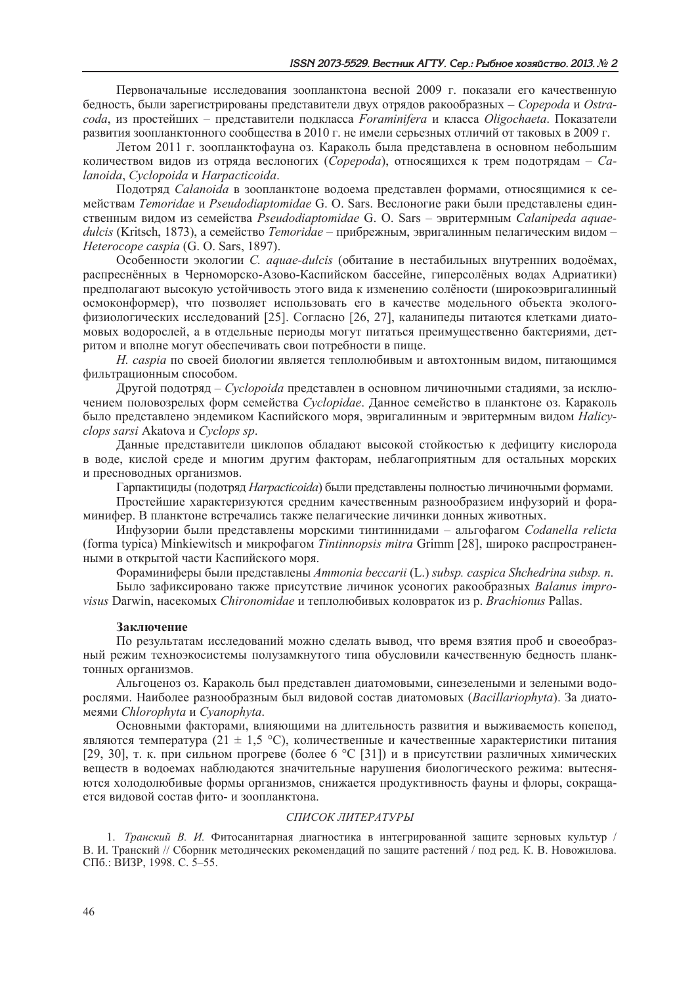Первоначальные исследования зоопланктона весной 2009 г. показали его качественную бедность, были зарегистрированы представители двух отрядов ракообразных - Copepoda и Ostracoda, из простейших - представители подкласса Foraminifera и класса Oligochaeta. Показатели развития зоопланктонного сообщества в 2010 г. не имели серьезных отличий от таковых в 2009 г.

Летом 2011 г. зоопланктофауна оз. Караколь была представлена в основном небольшим количеством видов из отряда веслоногих (*Copepoda*), относящихся к трем подотрядам - Саlanoida, Cyclopoida u Harpacticoida.

Подотряд *Calanoida* в зоопланктоне водоема представлен формами, относящимися к семействам Temoridae и Pseudodiaptomidae G. O. Sars. Веслоногие раки были представлены единственным видом из семейства Pseudodiaptomidae G. O. Sars - эвритермным Calanipeda aquaedulcis (Kritsch, 1873), а семейство Temoridae – прибрежным, эвригалинным пелагическим видом – Heterocope caspia (G. O. Sars, 1897).

Особенности экологии *С. aquae-dulcis* (обитание в нестабильных внутренних водоёмах, распреснённых в Черноморско-Азово-Каспийском бассейне, гиперсолёных водах Адриатики) предполагают высокую устойчивость этого вида к изменению солёности (широкоэвригалинный осмоконформер), что позволяет использовать его в качестве модельного объекта экологофизиологических исследований [25]. Согласно [26, 27], каланипеды питаются клетками диатомовых водорослей, а в отдельные периоды могут питаться преимущественно бактериями, детритом и вполне могут обеспечивать свои потребности в пище.

Н. caspia по своей биологии является теплолюбивым и автохтонным видом, питающимся фильтрационным способом.

Другой подотряд – *Cyclopoida* представлен в основном личиночными стадиями, за исключением половозрелых форм семейства Cyclopidae. Данное семейство в планктоне оз. Караколь было представлено эндемиком Каспийского моря, эвригалинным и эвритермным видом Halicyclops sarsi Akatova u Cyclops sp.

Данные представители циклопов обладают высокой стойкостью к дефициту кислорода в воде, кислой среде и многим другим факторам, неблагоприятным для остальных морских и пресноводных организмов.

Гарпактициды (подотряд *Harpacticoida*) были представлены полностью личиночными формами.

Простейшие характеризуются средним качественным разнообразием инфузорий и фораминифер. В планктоне встречались также пелагические личинки донных животных.

Инфузории были представлены морскими тинтиннидами - альгофагом Codanella relicta (forma typica) Minkiewitsch и микрофагом Tintinnopsis mitra Grimm [28], широко распространенными в открытой части Каспийского моря.

Фораминиферы были представлены Ammonia beccarii (L.) subsp. caspica Shchedrina subsp. n.

Было зафиксировано также присутствие личинок усоногих ракообразных Balanus improvisus Darwin, насекомых Chironomidae и теплолюбивых коловраток из р. Brachionus Pallas.

### Заключение

По результатам исследований можно сделать вывод, что время взятия проб и своеобразный режим техноэкосистемы полузамкнутого типа обусловили качественную бедность планктонных организмов.

Альгоценоз оз. Караколь был представлен диатомовыми, синезелеными и зелеными водорослями. Наиболее разнообразным был видовой состав диатомовых (Bacillariophyta). За диатомеями Chlorophyta и Cyanophyta.

Основными факторами, влияюшими на ллительность развития и выживаемость копепод. являются температура (21 ± 1,5 °С), количественные и качественные характеристики питания [29, 30], т. к. при сильном прогреве (более 6 °С [31]) и в присутствии различных химических веществ в водоемах наблюдаются значительные нарушения биологического режима: вытесняются холодолюбивые формы организмов, снижается продуктивность фауны и флоры, сокращается видовой состав фито- и зоопланктона.

## СПИСОК ЛИТЕРАТУРЫ

1. Транский В. И. Фитосанитарная диагностика в интегрированной защите зерновых культур / В. И. Транский // Сборник методических рекомендаций по защите растений / под ред. К. В. Новожилова. СПб.: ВИЗР, 1998. С. 5-55.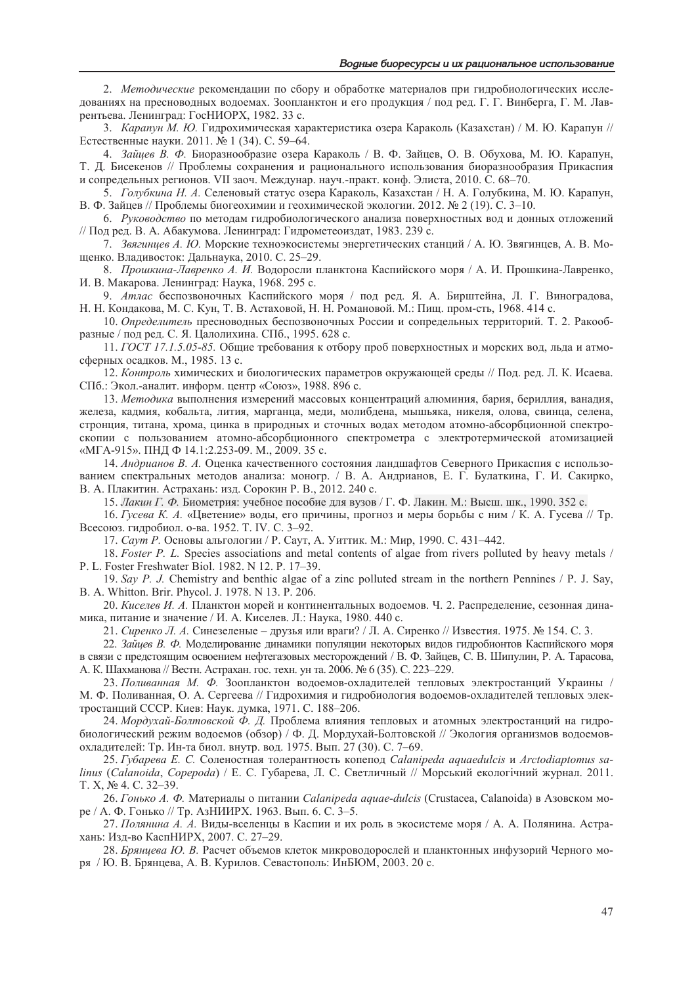2. Методические рекомендации по сбору и обработке материалов при гидробиологических исследованиях на пресноводных водоемах. Зоопланктон и его продукция / под ред. Г. Г. Винберга, Г. М. Лаврентьева. Ленинград: ГосНИОРХ, 1982. 33 с.

3. Карапун М. Ю. Гилрохимическая характеристика озера Караколь (Казахстан) / М. Ю. Карапун // Естественные науки. 2011. № 1 (34). С. 59-64.

4. Зайцев В. Ф. Биоразнообразие озера Караколь / В. Ф. Зайцев, О. В. Обухова, М. Ю. Карапун, Т. Д. Бисекенов // Проблемы сохранения и рационального использования биоразнообразия Прикаспия и сопредельных регионов. VII заоч. Междунар. науч.-практ. конф. Элиста, 2010. С. 68-70.

5. Голубкина Н. А. Селеновый статус озера Караколь, Казахстан / Н. А. Голубкина, М. Ю. Карапун, В. Ф. Зайцев // Проблемы биогеохимии и геохимической экологии. 2012. № 2 (19). С. 3-10.

6. Руководство по методам гидробиологического анализа поверхностных вод и донных отложений // Под ред. В. А. Абакумова. Ленинград: Гидрометеоиздат, 1983. 239 с.

7. Звягинцев А. Ю. Морские техноэкосистемы энергетических станций / А. Ю. Звягинцев, А. В. Мощенко. Владивосток: Дальнаука, 2010. С. 25-29.

8. Прошкина-Лавренко А. И. Водоросли планктона Каспийского моря / А. И. Прошкина-Лавренко, И. В. Макарова. Ленинград: Наука, 1968. 295 с.

9. Атлас беспозвоночных Каспийского моря / под ред. Я. А. Бирштейна, Л. Г. Виноградова, Н. Н. Кондакова, М. С. Кун, Т. В. Астаховой, Н. Н. Романовой. М.: Пищ. пром-сть, 1968. 414 с.

10. Определитель пресноводных беспозвоночных России и сопредельных территорий. Т. 2. Ракообразные / под ред. С. Я. Цалолихина. СПб., 1995. 628 с.

11. ГОСТ 17.1.5.05-85. Общие требования к отбору проб поверхностных и морских вод, льда и атмосферных осадков. М., 1985. 13 с.

12. Контроль химических и биологических параметров окружающей среды // Под. ред. Л. К. Исаева. СПб.: Экол.-аналит. информ. центр «Союз», 1988. 896 с.

13. Методика выполнения измерений массовых концентраций алюминия, бария, бериллия, ванадия, железа, кадмия, кобальта, лития, марганца, меди, молибдена, мышьяка, никеля, олова, свинца, селена, стронция, титана, хрома, цинка в природных и сточных водах методом атомно-абсорбционной спектроскопии с пользованием атомно-абсорбционного спектрометра с электротермической атомизацией «МГА-915». ПНД Ф 14.1:2.253-09. М., 2009. 35 с.

14. Андрианов В. А. Оценка качественного состояния ландшафтов Северного Прикаспия с использованием спектральных методов анализа: моногр. / В. А. Андрианов, Е. Г. Булаткина, Г. И. Сакирко, В. А. Плакитин. Астрахань: изд. Сорокин Р. В., 2012. 240 с.

15. Лакин Г. Ф. Биометрия: учебное пособие для вузов / Г. Ф. Лакин. М.: Высш. шк., 1990. 352 с.

16. Гусева К. А. «Цветение» воды, его причины, прогноз и меры борьбы с ним / К. А. Гусева // Тр. Всесоюз. гидробиол. о-ва. 1952. Т. IV. С. 3-92.

17. Саут Р. Основы альгологии / Р. Саут, А. Уиттик. М.: Мир, 1990. С. 431-442.

18. Foster P. L. Species associations and metal contents of algae from rivers polluted by heavy metals / P. L. Foster Freshwater Biol. 1982. N 12. P. 17–39.

19. Say P. J. Chemistry and benthic algae of a zinc polluted stream in the northern Pennines  $/$  P. J. Say, B. A. Whitton. Brir. Phycol. J. 1978. N 13. P. 206.

20. Киселев И. А. Планктон морей и континентальных водоемов. Ч. 2. Распределение, сезонная динамика, питание и значение / И. А. Киселев. Л.: Наука, 1980. 440 с.

21. Сиренко Л. А. Синезеленые – друзья или враги? / Л. А. Сиренко // Известия. 1975. № 154. С. 3.

22. Зайцев В. Ф. Моделирование динамики популяции некоторых видов гидробионтов Каспийского моря в связи с предстоящим освоением нефтегазовых месторождений / В. Ф. Зайцев, С. В. Шипулин, Р. А. Тарасова, А. К. Шахманова // Вестн. Астрахан. гос. техн. ун та. 2006. № 6 (35). С. 223-229.

23. Поливанная М. Ф. Зоопланктон водоемов-охладителей тепловых электростанций Украины / М. Ф. Поливанная, О. А. Сергеева // Гидрохимия и гидробиология водоемов-охладителей тепловых электростанций СССР. Киев: Наук. думка, 1971. С. 188-206.

24. Мордухай-Болтовской Ф. Д. Проблема влияния тепловых и атомных электростанций на гидробиологический режим водоемов (обзор) / Ф. Д. Мордухай-Болтовской // Экология организмов водоемовохладителей: Тр. Ин-та биол. внутр. вод. 1975. Вып. 27 (30). С. 7-69.

25. Губарева Е. С. Соленостная толерантность копепод Calanipeda aquaedulcis и Arctodiaptomus salinus (Calanoida, Copepoda) / Е. С. Губарева, Л. С. Светличный // Морський екологічний журнал. 2011. Т. Х, № 4. С. 32-39.

26. Гонько А. Ф. Материалы о питании Calanipeda aquae-dulcis (Crustacea, Calanoida) в Азовском море / А. Ф. Гонько // Тр. АзНИИРХ. 1963. Вып. 6. С. 3-5.

27. Полянина А. А. Виды-вселенцы в Каспии и их роль в экосистеме моря / А. А. Полянина. Астрахань: Изд-во КаспНИРХ, 2007. С. 27-29.

28. Брянцева Ю. В. Расчет объемов клеток микроводорослей и планктонных инфузорий Черного моря / Ю. В. Брянцева, А. В. Курилов. Севастополь: ИнБЮМ, 2003. 20 с.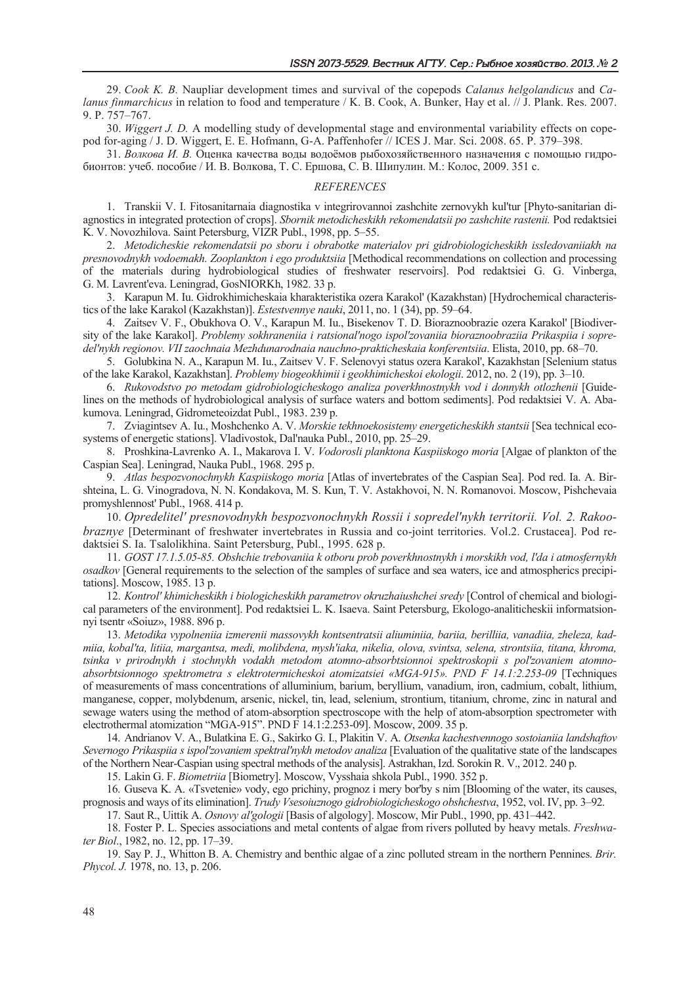29. Cook K. B. Naupliar development times and survival of the copepods Calanus helgolandicus and Calanus finmarchicus in relation to food and temperature / K. B. Cook, A. Bunker, Hay et al. // J. Plank. Res. 2007. 9. P. 757-767.

30. *Wiggert J. D.* A modelling study of developmental stage and environmental variability effects on copepod for-aging / J. D. Wiggert, E. E. Hofmann, G-A. Paffenhofer // ICES J. Mar. Sci. 2008, 65, P. 379–398.

31. Волкова И. В. Оценка качества воды водоёмов рыбохозяйственного назначения с помощью гидробионтов: учеб. пособие / И. В. Волкова, Т. С. Ершова, С. В. Шипулин. М.: Колос, 2009. 351 с.

#### **REFERENCES**

1. Transkii V. I. Fitosanitarnaja diagnostika v integrirovannoj zashchite zernovykh kul'tur [Phyto-sanitarian diagnostics in integrated protection of crops]. Shornik metodicheskikh rekomendatsii po zashchite rastenii. Pod redaktsiei K. V. Novozhilova. Saint Petersburg, VIZR Publ., 1998, pp. 5–55.

2. Metodicheskie rekomendatsii po sboru i obrabotke materialov pri gidrobiologicheskikh issledovaniiakh na presnovodnykh vodoemakh. Zooplankton i ego produktsiia [Methodical recommendations on collection and processing of the materials during hydrobiological studies of freshwater reservoirs]. Pod redaktsiei G. G. Vinberga, G. M. Lavrent'eva. Leningrad, GosNIORKh, 1982. 33 p.

3. Karapun M. Iu. Gidrokhimicheskaia kharakteristika ozera Karakol' (Kazakhstan) [Hydrochemical characteristics of the lake Karakol (Kazakhstan)]. Estestvennye nauki, 2011, no. 1 (34), pp. 59-64.

4. Zaitsev V. F., Obukhova O. V., Karapun M. Iu., Bisekenov T. D. Bioraznoobrazie ozera Karakol' [Biodiversity of the lake Karakol]. Problemy sokhraneniia i ratsional'nogo ispol'zovaniia bioraznoobraziia Prikaspiia i sopredel'nykh regionov. VII zaochnaia Mezhdunarodnaia nauchno-prakticheskaia konferentsiia. Elista, 2010, pp. 68-70.

5. Golubkina N. A., Karapun M. Iu., Zaitsev V. F. Selenovyi status ozera Karakol', Kazakhstan [Selenium status of the lake Karakol, Kazakhstan]. Problemy biogeokhimii i geokhimicheskoi ekologii. 2012, no. 2 (19), pp. 3–10.

6. Rukovodstvo po metodam gidrobiologicheskogo analiza poverkhnostnykh vod i donnykh otlozhenii [Guidelines on the methods of hydrobiological analysis of surface waters and bottom sediments]. Pod redaktsiei V. A. Abakumova. Leningrad, Gidrometeoizdat Publ., 1983. 239 p.

7. Zviagintsev A. Iu., Moshchenko A. V. Morskie tekhnoekosistemy energeticheskikh stantsii [Sea technical ecosystems of energetic stations]. Vladivostok, Dal'nauka Publ., 2010, pp. 25–29.

8. Proshkina-Lavrenko A. I., Makarova I. V. Vodorosli planktona Kaspiiskogo moria [Algae of plankton of the Caspian Sea]. Leningrad, Nauka Publ., 1968. 295 p.

9. Atlas bespozvonochnykh Kaspiiskogo moria [Atlas of invertebrates of the Caspian Sea]. Pod red. Ia. A. Birshteina, L. G. Vinogradova, N. N. Kondakova, M. S. Kun, T. V. Astakhovoi, N. N. Romanovoi. Moscow, Pishchevaia promyshlennost' Publ., 1968. 414 p.

10. Opredelitel' presnovodnykh bespozvonochnykh Rossii i sopredel'nykh territorii. Vol. 2. Rakoo*braznye* [Determinant of freshwater invertebrates in Russia and co-joint territories. Vol.2. Crustacea]. Pod redaktsiei S. Ia. Tsalolikhina. Saint Petersburg, Publ., 1995. 628 p.

11. GOST 17.1.5.05-85. Obshchie trebovanija k otboru prob poverkhnostnykh i morskikh vod, l'da i atmosfernykh osadkov [General requirements to the selection of the samples of surface and sea waters, ice and atmospherics precipitations]. Moscow, 1985. 13 p.

12. Kontrol' khimicheskikh i biologicheskikh parametrov okruzhajushchej sredy [Control of chemical and biological parameters of the environment]. Pod redaktsiei L. K. Isaeva. Saint Petersburg, Ekologo-analiticheskii informatsionnyi tsentr «Soiuz», 1988. 896 p.

13. Metodika vypolneniia izmerenii massovykh kontsentratsii aliuminiia, bariia, berilliia, vanadiia, zheleza, kadmiia, kobal'ta, litiia, margantsa, medi, molibdena, mysh'iaka, nikelia, olova, svintsa, selena, strontsiia, titana, khroma, tsinka v prirodnykh i stochnykh vodakh metodom atomno-absorbtsionnoi spektroskopii s pol'zovaniem atomnoabsorbtsionnogo spektrometra s elektrotermicheskoj atomizatsiej «MGA-915». PND F 14.1:2.253-09 [Techniques of measurements of mass concentrations of alluminium, barium, beryllium, vanadium, iron, cadmium, cobalt, lithium, manganese, copper, molybdenum, arsenic, nickel, tin, lead, selenium, strontium, titanium, chrome, zinc in natural and sewage waters using the method of atom-absorption spectroscope with the help of atom-absorption spectrometer with electrothermal atomization "MGA-915". PND F 14.1:2.253-09]. Moscow, 2009. 35 p.

14. Andrianov V. A., Bulatkina E. G., Sakirko G. I., Plakitin V. A. Otsenka kachestvennogo sostoianiia landshaftov Severnogo Prikaspiia s ispol'zovaniem spektral'nykh metodov analiza [Evaluation of the qualitative state of the landscapes of the Northern Near-Caspian using spectral methods of the analysis]. Astrakhan, Izd. Sorokin R. V., 2012. 240 p.

15. Lakin G. F. Biometriia [Biometry]. Moscow, Vysshaia shkola Publ., 1990. 352 p.

16. Guseva K. A. «Tsvetenie» vody, ego prichiny, prognoz i mery bor'by s nim [Blooming of the water, its causes, prognosis and ways of its elimination]. Trudy Vsesoiuznogo gidrobiologicheskogo obshchestva, 1952, vol. IV, pp. 3–92.

17. Saut R., Uittik A. Osnovy al'gologii [Basis of algology]. Moscow, Mir Publ., 1990, pp. 431-442.

18. Foster P. L. Species associations and metal contents of algae from rivers polluted by heavy metals. Freshwater Biol., 1982, no. 12, pp. 17–39.

19. Say P. J., Whitton B. A. Chemistry and benthic algae of a zinc polluted stream in the northern Pennines. Brir. *Phycol. J.* 1978, no. 13, p. 206.